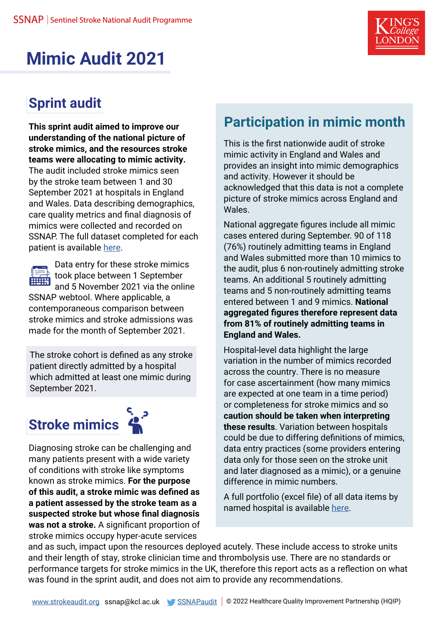

## **Mimic Audit 2021**

### **Sprint audit**

**This sprint audit aimed to improve our understanding of the national picture of stroke mimics, and the resources stroke teams were allocating to mimic activity.** 

The audit included stroke mimics seen by the stroke team between 1 and 30 September 2021 at hospitals in England and Wales. Data describing demographics, care quality metrics and final diagnosis of mimics were collected and recorded on SSNAP. The full dataset completed for each patient is available [here.](https://ssnap.zendesk.com/hc/en-us/articles/115003811269-SSNAP-Clinical-Audit-Datasets)



Data entry for these stroke mimics took place between 1 September and 5 November 2021 via the online SSNAP webtool. Where applicable, a contemporaneous comparison between

stroke mimics and stroke admissions was made for the month of September 2021.

The stroke cohort is defined as any stroke patient directly admitted by a hospital which admitted at least one mimic during September 2021.

# **Stroke mimics**



Diagnosing stroke can be challenging and many patients present with a wide variety of conditions with stroke like symptoms known as stroke mimics. **For the purpose of this audit, a stroke mimic was defined as a patient assessed by the stroke team as a suspected stroke but whose final diagnosis was not a stroke.** A significant proportion of stroke mimics occupy hyper-acute services

## **Participation in mimic month**

This is the first nationwide audit of stroke mimic activity in England and Wales and provides an insight into mimic demographics and activity. However it should be acknowledged that this data is not a complete picture of stroke mimics across England and Wales.

National aggregate figures include all mimic cases entered during September. 90 of 118 (76%) routinely admitting teams in England and Wales submitted more than 10 mimics to the audit, plus 6 non-routinely admitting stroke teams. An additional 5 routinely admitting teams and 5 non-routinely admitting teams entered between 1 and 9 mimics. **National aggregated figures therefore represent data from 81% of routinely admitting teams in England and Wales.**

Hospital-level data highlight the large variation in the number of mimics recorded across the country. There is no measure for case ascertainment (how many mimics are expected at one team in a time period) or completeness for stroke mimics and so **caution should be taken when interpreting these results**. Variation between hospitals could be due to differing definitions of mimics, data entry practices (some providers entering data only for those seen on the stroke unit and later diagnosed as a mimic), or a genuine difference in mimic numbers.

A full portfolio (excel file) of all data items by named hospital is available here.

and as such, impact upon the resources deployed acutely. These include access to stroke units and their length of stay, stroke clinician time and thrombolysis use. There are no standards or performance targets for stroke mimics in the UK, therefore this report acts as a reflection on what was found in the sprint audit, and does not aim to provide any recommendations.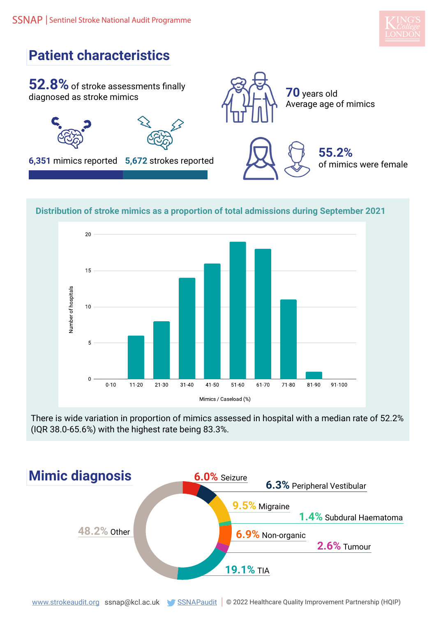



#### **Distribution of stroke mimics as a proportion of total admissions during September 2021**



There is wide variation in proportion of mimics assessed in hospital with a median rate of 52.2% (IQR 38.0-65.6%) with the highest rate being 83.3%.

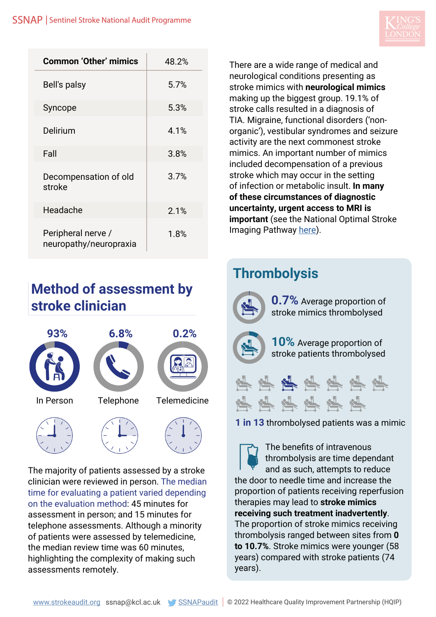

| <b>Common 'Other' mimics</b>                 | 48.2% |
|----------------------------------------------|-------|
| Bell's palsy                                 | 5.7%  |
| Syncope                                      | 5.3%  |
| Delirium                                     | 4.1%  |
| Fall                                         | 3.8%  |
| Decompensation of old<br>stroke              | 3.7%  |
| Headache                                     | 2.1%  |
| Peripheral nerve /<br>neuropathy/neuropraxia | 1.8%  |

#### **Method of assessment by stroke clinician**



The majority of patients assessed by a stroke clinician were reviewed in person. The median time for evaluating a patient varied depending on the evaluation method: 45 minutes for assessment in person; and 15 minutes for telephone assessments. Although a minority of patients were assessed by telemedicine, the median review time was 60 minutes, highlighting the complexity of making such assessments remotely.

There are a wide range of medical and neurological conditions presenting as stroke mimics with **neurological mimics** making up the biggest group. 19.1% of stroke calls resulted in a diagnosis of TIA. Migraine, functional disorders ('nonorganic'), vestibular syndromes and seizure activity are the next commonest stroke mimics. An important number of mimics included decompensation of a previous stroke which may occur in the setting of infection or metabolic insult. **In many of these circumstances of diagnostic uncertainty, urgent access to MRI is important** (see the National Optimal Stroke Imaging Pathway [here\)](https://www.strokeaudit.org/SupportFiles/Documents/Guidelines/NOSIP-master-version.aspx).

## **Thrombolysis**

**0.7%** Average proportion of stroke mimics thrombolysed **10%** Average proportion of stroke patients thrombolysed 学科学学学科学 坚守坚守坚守 **1 in 13** thrombolysed patients was a mimic

The benefits of intravenous thrombolysis are time dependant and as such, attempts to reduce the door to needle time and increase the proportion of patients receiving reperfusion therapies may lead to **stroke mimics receiving such treatment inadvertently**. The proportion of stroke mimics receiving thrombolysis ranged between sites from **0 to 10.7%**. Stroke mimics were younger (58 years) compared with stroke patients (74 years).